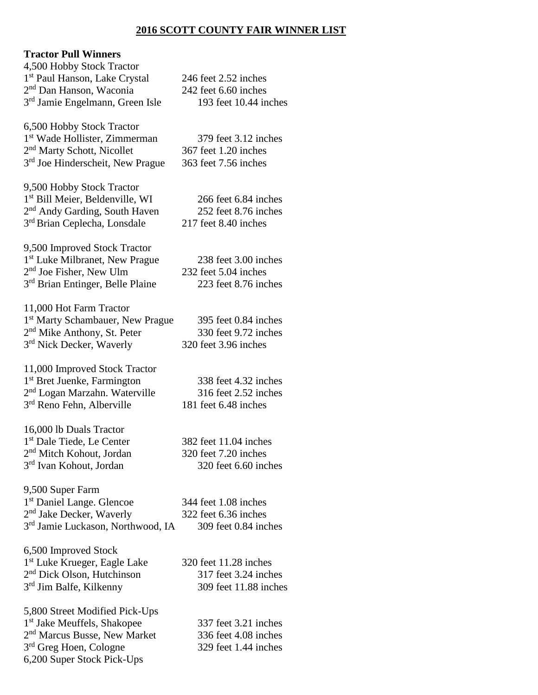# **2016 SCOTT COUNTY FAIR WINNER LIST**

# **Tractor Pull Winners**

6,200 Super Stock Pick-Ups

| vi i uli j<br>4,500 Hobby Stock Tractor<br>1 <sup>st</sup> Paul Hanson, Lake Crystal<br>2 <sup>nd</sup> Dan Hanson, Waconia<br>3 <sup>rd</sup> Jamie Engelmann, Green Isle | 246 feet 2.52 inches<br>242 feet 6.60 inches<br>193 feet 10.44 inches  |
|----------------------------------------------------------------------------------------------------------------------------------------------------------------------------|------------------------------------------------------------------------|
| 6,500 Hobby Stock Tractor<br>1 <sup>st</sup> Wade Hollister, Zimmerman<br>2 <sup>nd</sup> Marty Schott, Nicollet<br>3 <sup>rd</sup> Joe Hinderscheit, New Prague           | 379 feet 3.12 inches<br>367 feet 1.20 inches<br>363 feet 7.56 inches   |
| 9,500 Hobby Stock Tractor<br>1st Bill Meier, Beldenville, WI<br>2 <sup>nd</sup> Andy Garding, South Haven<br>3 <sup>rd</sup> Brian Ceplecha, Lonsdale                      | 266 feet 6.84 inches<br>252 feet 8.76 inches<br>217 feet 8.40 inches   |
| 9,500 Improved Stock Tractor<br>1 <sup>st</sup> Luke Milbranet, New Prague<br>2 <sup>nd</sup> Joe Fisher, New Ulm<br>3 <sup>rd</sup> Brian Entinger, Belle Plaine          | 238 feet 3.00 inches<br>232 feet 5.04 inches<br>223 feet 8.76 inches   |
| 11,000 Hot Farm Tractor<br>1 <sup>st</sup> Marty Schambauer, New Prague<br>2 <sup>nd</sup> Mike Anthony, St. Peter<br>3 <sup>rd</sup> Nick Decker, Waverly                 | 395 feet 0.84 inches<br>330 feet 9.72 inches<br>320 feet 3.96 inches   |
| 11,000 Improved Stock Tractor<br>1 <sup>st</sup> Bret Juenke, Farmington<br>2 <sup>nd</sup> Logan Marzahn. Waterville<br>3rd Reno Fehn, Alberville                         | 338 feet 4.32 inches<br>316 feet 2.52 inches<br>181 feet 6.48 inches   |
| 16,000 lb Duals Tractor<br>1 <sup>st</sup> Dale Tiede, Le Center<br>2 <sup>nd</sup> Mitch Kohout, Jordan<br>3rd Ivan Kohout, Jordan                                        | 382 feet 11.04 inches<br>320 feet 7.20 inches<br>320 feet 6.60 inches  |
| 9,500 Super Farm<br>1 <sup>st</sup> Daniel Lange. Glencoe<br>2 <sup>nd</sup> Jake Decker, Waverly<br>3rd Jamie Luckason, Northwood, IA                                     | 344 feet 1.08 inches<br>322 feet 6.36 inches<br>309 feet 0.84 inches   |
| 6,500 Improved Stock<br>1 <sup>st</sup> Luke Krueger, Eagle Lake<br>2 <sup>nd</sup> Dick Olson, Hutchinson<br>3 <sup>rd</sup> Jim Balfe, Kilkenny                          | 320 feet 11.28 inches<br>317 feet 3.24 inches<br>309 feet 11.88 inches |
| 5,800 Street Modified Pick-Ups<br>1 <sup>st</sup> Jake Meuffels, Shakopee<br>2 <sup>nd</sup> Marcus Busse, New Market<br>3 <sup>rd</sup> Greg Hoen, Cologne                | 337 feet 3.21 inches<br>336 feet 4.08 inches<br>329 feet 1.44 inches   |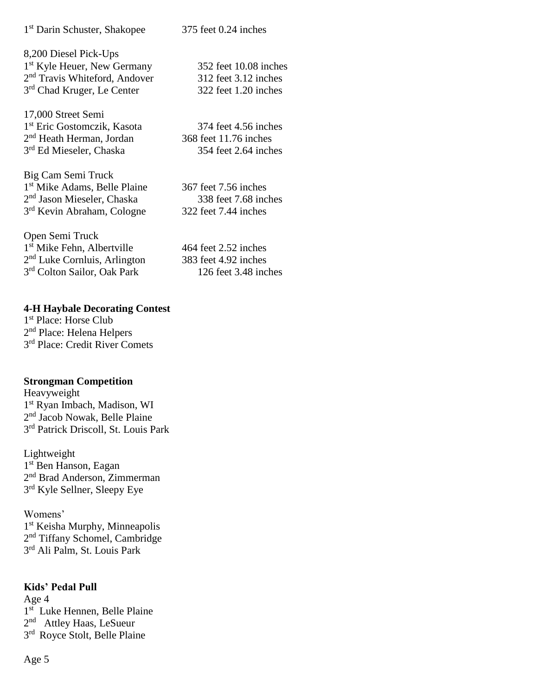1 st Darin Schuster, Shakopee 375 feet 0.24 inches

8,200 Diesel Pick-Ups 1<sup>st</sup> Kyle Heuer, New Germany 352 feet 10.08 inches 2 nd Travis Whiteford, Andover 312 feet 3.12 inches 3<sup>rd</sup> Chad Kruger, Le Center 322 feet 1.20 inches

17,000 Street Semi st Eric Gostomczik, Kasota 374 feet 4.56 inches nd Heath Herman, Jordan 368 feet 11.76 inches rd Ed Mieseler, Chaska 354 feet 2.64 inches

Big Cam Semi Truck 1<sup>st</sup> Mike Adams, Belle Plaine 367 feet 7.56 inches 2 nd Jason Mieseler, Chaska 338 feet 7.68 inches 3<sup>rd</sup> Kevin Abraham, Cologne 322 feet 7.44 inches

Open Semi Truck 1<sup>st</sup> Mike Fehn, Albertville 464 feet 2.52 inches 2 nd Luke Cornluis, Arlington 383 feet 4.92 inches 3 rd Colton Sailor, Oak Park 126 feet 3.48 inches

### **4-H Haybale Decorating Contest**

1 st Place: Horse Club 2<sup>nd</sup> Place: Helena Helpers 3<sup>rd</sup> Place: Credit River Comets

### **Strongman Competition**

Heavyweight 1 st Ryan Imbach, Madison, WI 2<sup>nd</sup> Jacob Nowak, Belle Plaine 3<sup>rd</sup> Patrick Driscoll, St. Louis Park

Lightweight 1 st Ben Hanson, Eagan 2<sup>nd</sup> Brad Anderson, Zimmerman 3<sup>rd</sup> Kyle Sellner, Sleepy Eye

Womens' 1 st Keisha Murphy, Minneapolis 2<sup>nd</sup> Tiffany Schomel, Cambridge 3 rd Ali Palm, St. Louis Park

# **Kids' Pedal Pull**

Age 4 1<sup>st</sup> Luke Hennen, Belle Plaine 2<sup>nd</sup> Attley Haas, LeSueur 3rd Royce Stolt, Belle Plaine

| 464 feet 2.52 inches   |
|------------------------|
| 383 feet 4.92 inches   |
| 126 feet $3.48$ inches |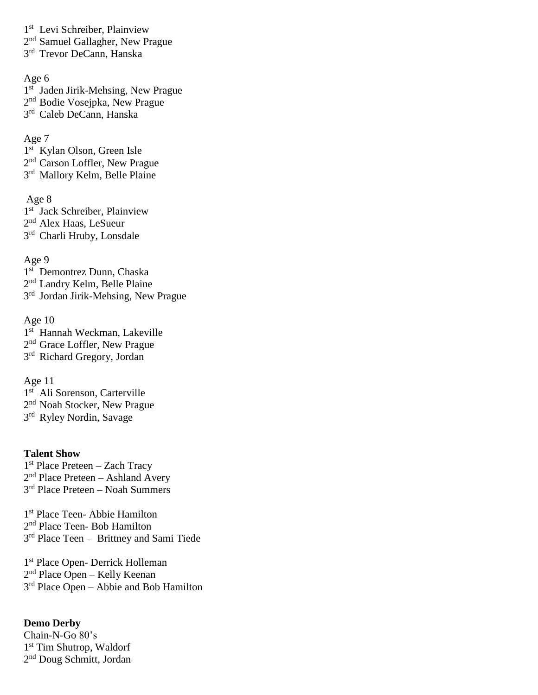1 st Levi Schreiber, Plainview

2<sup>nd</sup> Samuel Gallagher, New Prague

3<sup>rd</sup> Trevor DeCann, Hanska

Age 6

1<sup>st</sup> Jaden Jirik-Mehsing, New Prague

2<sup>nd</sup> Bodie Vosejpka, New Prague

3 rd Caleb DeCann, Hanska

Age 7

1 st Kylan Olson, Green Isle 2<sup>nd</sup> Carson Loffler, New Prague 3<sup>rd</sup> Mallory Kelm, Belle Plaine

Age 8

1 st Jack Schreiber, Plainview

2<sup>nd</sup> Alex Haas, LeSueur

3<sup>rd</sup> Charli Hruby, Lonsdale

Age 9

1 st Demontrez Dunn, Chaska

2<sup>nd</sup> Landry Kelm, Belle Plaine

3<sup>rd</sup> Jordan Jirik-Mehsing, New Prague

Age 10

1 st Hannah Weckman, Lakeville

2<sup>nd</sup> Grace Loffler, New Prague

3<sup>rd</sup> Richard Gregory, Jordan

Age 11

1 st Ali Sorenson, Carterville

2<sup>nd</sup> Noah Stocker, New Prague

3<sup>rd</sup> Ryley Nordin, Savage

**Talent Show**

1 st Place Preteen – Zach Tracy 2<sup>nd</sup> Place Preteen – Ashland Avery 3 rd Place Preteen – Noah Summers

1 st Place Teen- Abbie Hamilton 2<sup>nd</sup> Place Teen- Bob Hamilton 3<sup>rd</sup> Place Teen – Brittney and Sami Tiede

1 st Place Open- Derrick Holleman 2<sup>nd</sup> Place Open – Kelly Keenan 3<sup>rd</sup> Place Open – Abbie and Bob Hamilton

**Demo Derby**

Chain-N-Go 80's 1<sup>st</sup> Tim Shutrop, Waldorf 2<sup>nd</sup> Doug Schmitt, Jordan